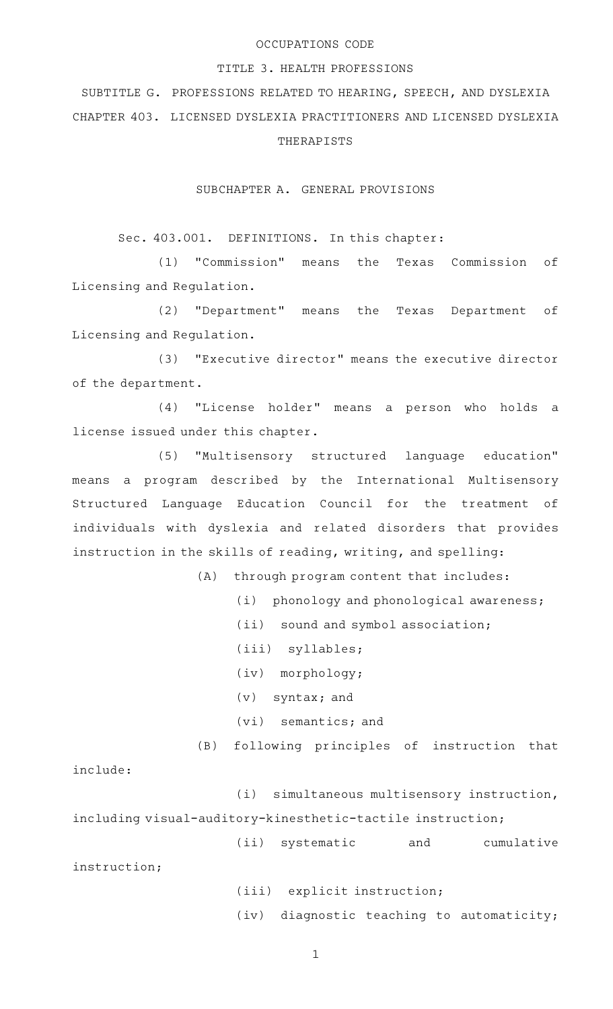## OCCUPATIONS CODE

#### TITLE 3. HEALTH PROFESSIONS

# SUBTITLE G. PROFESSIONS RELATED TO HEARING, SPEECH, AND DYSLEXIA CHAPTER 403. LICENSED DYSLEXIA PRACTITIONERS AND LICENSED DYSLEXIA THERAPISTS

#### SUBCHAPTER A. GENERAL PROVISIONS

## Sec. 403.001. DEFINITIONS. In this chapter:

(1) "Commission" means the Texas Commission of Licensing and Regulation.

(2) "Department" means the Texas Department of Licensing and Regulation.

(3) "Executive director" means the executive director of the department.

(4) "License holder" means a person who holds a license issued under this chapter.

(5) "Multisensory structured language education" means a program described by the International Multisensory Structured Language Education Council for the treatment of individuals with dyslexia and related disorders that provides instruction in the skills of reading, writing, and spelling:

(A) through program content that includes:

(i) phonology and phonological awareness;

(ii) sound and symbol association;

(iii) syllables;

(iv) morphology;

 $(v)$  syntax; and

 $(vi)$  semantics; and

(B) following principles of instruction that

include:

(i) simultaneous multisensory instruction, including visual-auditory-kinesthetic-tactile instruction;

(ii) systematic and cumulative

instruction;

(iii) explicit instruction; (iv) diagnostic teaching to automaticity;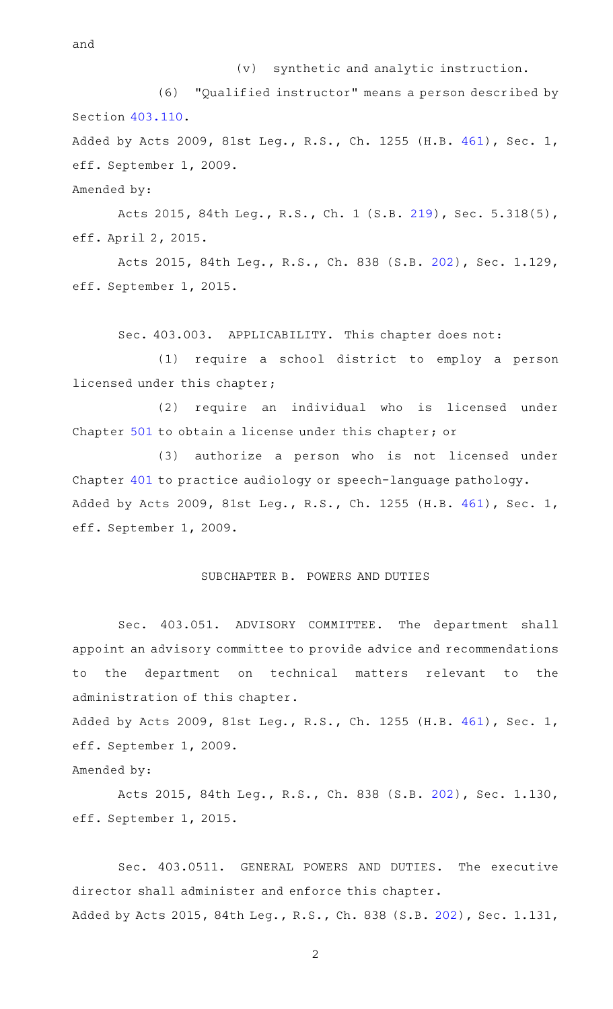$(v)$  synthetic and analytic instruction.

(6) "Qualified instructor" means a person described by Section [403.110.](http://www.statutes.legis.state.tx.us/GetStatute.aspx?Code=OC&Value=403.110) Added by Acts 2009, 81st Leg., R.S., Ch. 1255 (H.B. [461](http://www.legis.state.tx.us/tlodocs/81R/billtext/html/HB00461F.HTM)), Sec. 1,

eff. September 1, 2009.

Amended by:

Acts 2015, 84th Leg., R.S., Ch. 1 (S.B. [219](http://www.legis.state.tx.us/tlodocs/84R/billtext/html/SB00219F.HTM)), Sec. 5.318(5), eff. April 2, 2015.

Acts 2015, 84th Leg., R.S., Ch. 838 (S.B. [202](http://www.legis.state.tx.us/tlodocs/84R/billtext/html/SB00202F.HTM)), Sec. 1.129, eff. September 1, 2015.

Sec. 403.003. APPLICABILITY. This chapter does not:

(1) require a school district to employ a person licensed under this chapter;

(2) require an individual who is licensed under Chapter [501](http://www.statutes.legis.state.tx.us/GetStatute.aspx?Code=OC&Value=501) to obtain a license under this chapter; or

(3) authorize a person who is not licensed under Chapter [401](http://www.statutes.legis.state.tx.us/GetStatute.aspx?Code=OC&Value=401) to practice audiology or speech-language pathology. Added by Acts 2009, 81st Leg., R.S., Ch. 1255 (H.B. [461](http://www.legis.state.tx.us/tlodocs/81R/billtext/html/HB00461F.HTM)), Sec. 1, eff. September 1, 2009.

## SUBCHAPTER B. POWERS AND DUTIES

Sec. 403.051. ADVISORY COMMITTEE. The department shall appoint an advisory committee to provide advice and recommendations to the department on technical matters relevant to the administration of this chapter.

Added by Acts 2009, 81st Leg., R.S., Ch. 1255 (H.B. [461](http://www.legis.state.tx.us/tlodocs/81R/billtext/html/HB00461F.HTM)), Sec. 1, eff. September 1, 2009.

Amended by:

Acts 2015, 84th Leg., R.S., Ch. 838 (S.B. [202](http://www.legis.state.tx.us/tlodocs/84R/billtext/html/SB00202F.HTM)), Sec. 1.130, eff. September 1, 2015.

Sec. 403.0511. GENERAL POWERS AND DUTIES. The executive director shall administer and enforce this chapter. Added by Acts 2015, 84th Leg., R.S., Ch. 838 (S.B. [202\)](http://www.legis.state.tx.us/tlodocs/84R/billtext/html/SB00202F.HTM), Sec. 1.131,

and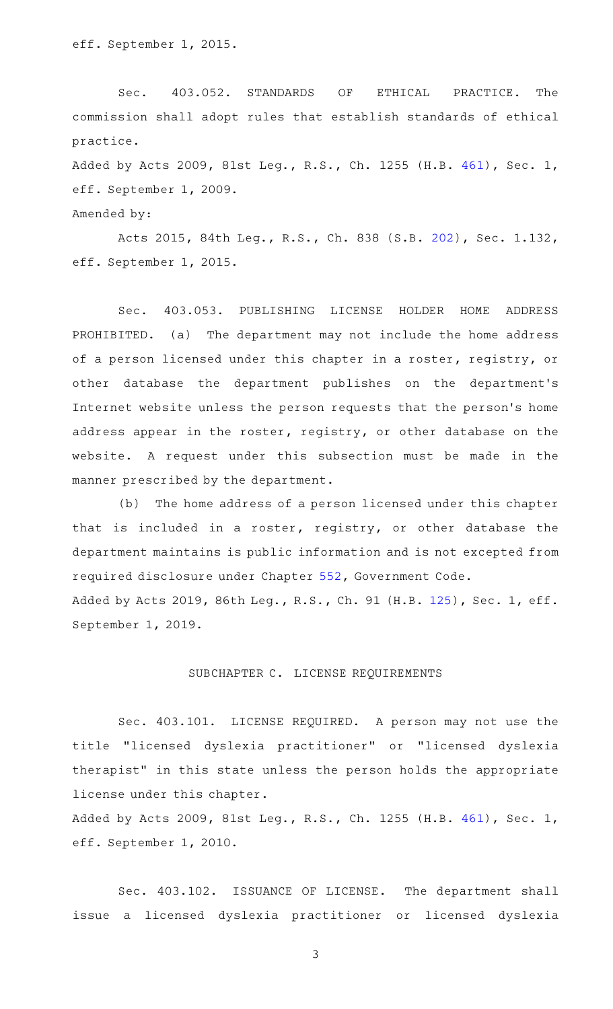Sec. 403.052. STANDARDS OF ETHICAL PRACTICE. The commission shall adopt rules that establish standards of ethical practice.

Added by Acts 2009, 81st Leg., R.S., Ch. 1255 (H.B. [461](http://www.legis.state.tx.us/tlodocs/81R/billtext/html/HB00461F.HTM)), Sec. 1, eff. September 1, 2009.

Amended by:

Acts 2015, 84th Leg., R.S., Ch. 838 (S.B. [202](http://www.legis.state.tx.us/tlodocs/84R/billtext/html/SB00202F.HTM)), Sec. 1.132, eff. September 1, 2015.

Sec. 403.053. PUBLISHING LICENSE HOLDER HOME ADDRESS PROHIBITED. (a) The department may not include the home address of a person licensed under this chapter in a roster, registry, or other database the department publishes on the department 's Internet website unless the person requests that the person 's home address appear in the roster, registry, or other database on the website. A request under this subsection must be made in the manner prescribed by the department.

(b) The home address of a person licensed under this chapter that is included in a roster, registry, or other database the department maintains is public information and is not excepted from required disclosure under Chapter [552](http://www.statutes.legis.state.tx.us/GetStatute.aspx?Code=GV&Value=552), Government Code. Added by Acts 2019, 86th Leg., R.S., Ch. 91 (H.B. [125](http://www.legis.state.tx.us/tlodocs/86R/billtext/html/HB00125F.HTM)), Sec. 1, eff. September 1, 2019.

### SUBCHAPTER C. LICENSE REQUIREMENTS

Sec. 403.101. LICENSE REQUIRED. A person may not use the title "licensed dyslexia practitioner" or "licensed dyslexia therapist" in this state unless the person holds the appropriate license under this chapter.

Added by Acts 2009, 81st Leg., R.S., Ch. 1255 (H.B. [461](http://www.legis.state.tx.us/tlodocs/81R/billtext/html/HB00461F.HTM)), Sec. 1, eff. September 1, 2010.

Sec. 403.102. ISSUANCE OF LICENSE. The department shall issue a licensed dyslexia practitioner or licensed dyslexia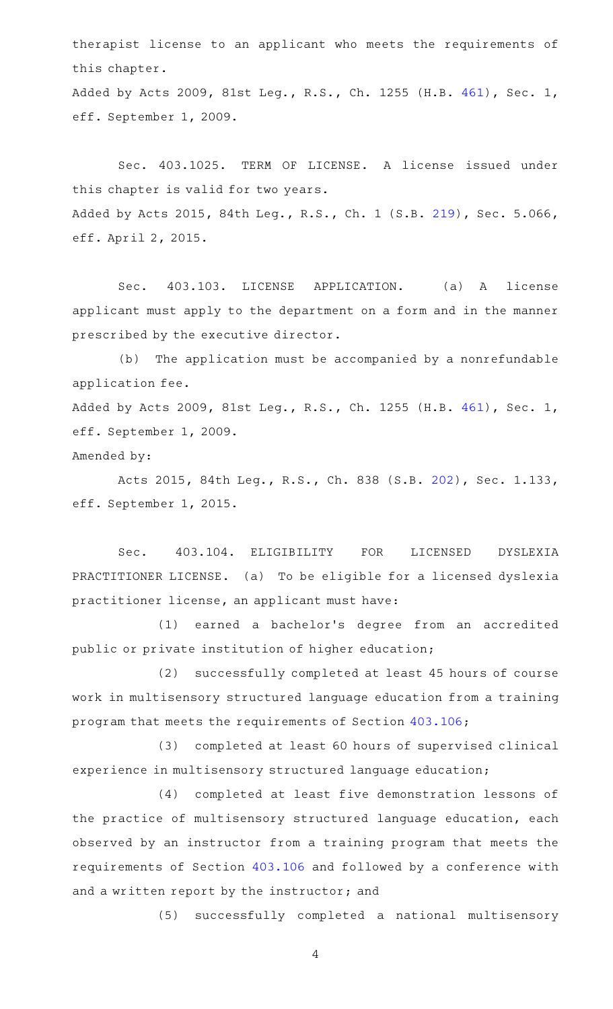therapist license to an applicant who meets the requirements of this chapter.

Added by Acts 2009, 81st Leg., R.S., Ch. 1255 (H.B. [461](http://www.legis.state.tx.us/tlodocs/81R/billtext/html/HB00461F.HTM)), Sec. 1, eff. September 1, 2009.

Sec. 403.1025. TERM OF LICENSE. A license issued under this chapter is valid for two years. Added by Acts 2015, 84th Leg., R.S., Ch. 1 (S.B. [219](http://www.legis.state.tx.us/tlodocs/84R/billtext/html/SB00219F.HTM)), Sec. 5.066, eff. April 2, 2015.

Sec. 403.103. LICENSE APPLICATION. (a) A license applicant must apply to the department on a form and in the manner prescribed by the executive director.

(b) The application must be accompanied by a nonrefundable application fee. Added by Acts 2009, 81st Leg., R.S., Ch. 1255 (H.B. [461](http://www.legis.state.tx.us/tlodocs/81R/billtext/html/HB00461F.HTM)), Sec. 1, eff. September 1, 2009.

Amended by:

Acts 2015, 84th Leg., R.S., Ch. 838 (S.B. [202](http://www.legis.state.tx.us/tlodocs/84R/billtext/html/SB00202F.HTM)), Sec. 1.133, eff. September 1, 2015.

Sec. 403.104. ELIGIBILITY FOR LICENSED DYSLEXIA PRACTITIONER LICENSE. (a) To be eligible for a licensed dyslexia practitioner license, an applicant must have:

(1) earned a bachelor's degree from an accredited public or private institution of higher education;

(2) successfully completed at least 45 hours of course work in multisensory structured language education from a training program that meets the requirements of Section [403.106;](http://www.statutes.legis.state.tx.us/GetStatute.aspx?Code=OC&Value=403.106)

(3) completed at least 60 hours of supervised clinical experience in multisensory structured language education;

(4) completed at least five demonstration lessons of the practice of multisensory structured language education, each observed by an instructor from a training program that meets the requirements of Section [403.106](http://www.statutes.legis.state.tx.us/GetStatute.aspx?Code=OC&Value=403.106) and followed by a conference with and a written report by the instructor; and

(5) successfully completed a national multisensory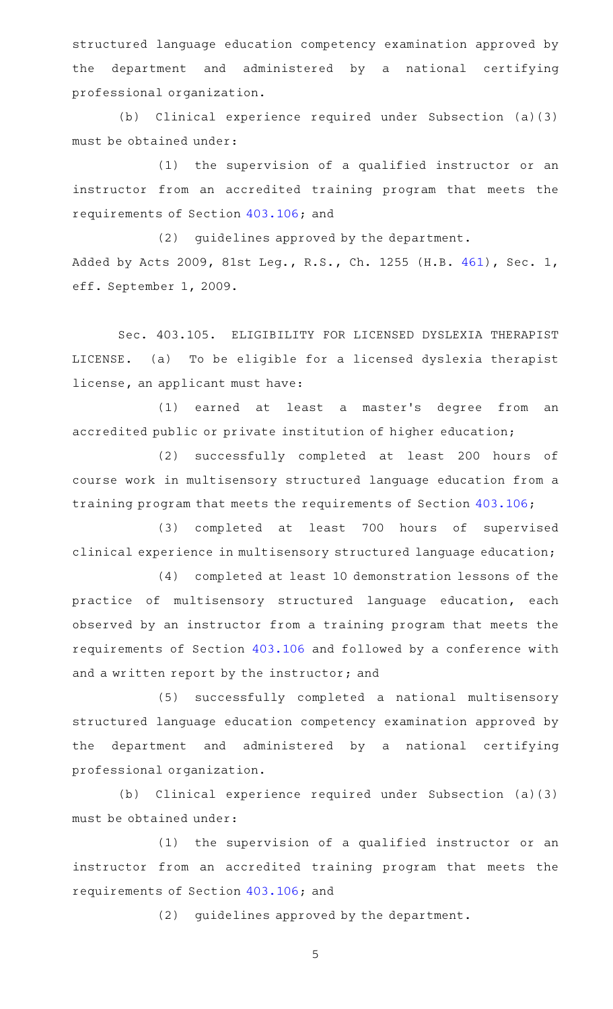structured language education competency examination approved by the department and administered by a national certifying professional organization.

(b) Clinical experience required under Subsection (a)(3) must be obtained under:

 $(1)$  the supervision of a qualified instructor or an instructor from an accredited training program that meets the requirements of Section [403.106](http://www.statutes.legis.state.tx.us/GetStatute.aspx?Code=OC&Value=403.106); and

(2) quidelines approved by the department. Added by Acts 2009, 81st Leg., R.S., Ch. 1255 (H.B. [461](http://www.legis.state.tx.us/tlodocs/81R/billtext/html/HB00461F.HTM)), Sec. 1, eff. September 1, 2009.

Sec. 403.105. ELIGIBILITY FOR LICENSED DYSLEXIA THERAPIST LICENSE. (a) To be eligible for a licensed dyslexia therapist license, an applicant must have:

(1) earned at least a master's degree from an accredited public or private institution of higher education;

(2) successfully completed at least 200 hours of course work in multisensory structured language education from a training program that meets the requirements of Section [403.106](http://www.statutes.legis.state.tx.us/GetStatute.aspx?Code=OC&Value=403.106);

(3) completed at least 700 hours of supervised clinical experience in multisensory structured language education;

(4) completed at least 10 demonstration lessons of the practice of multisensory structured language education, each observed by an instructor from a training program that meets the requirements of Section [403.106](http://www.statutes.legis.state.tx.us/GetStatute.aspx?Code=OC&Value=403.106) and followed by a conference with and a written report by the instructor; and

(5) successfully completed a national multisensory structured language education competency examination approved by the department and administered by a national certifying professional organization.

(b) Clinical experience required under Subsection (a)(3) must be obtained under:

(1) the supervision of a qualified instructor or an instructor from an accredited training program that meets the requirements of Section [403.106](http://www.statutes.legis.state.tx.us/GetStatute.aspx?Code=OC&Value=403.106); and

(2) guidelines approved by the department.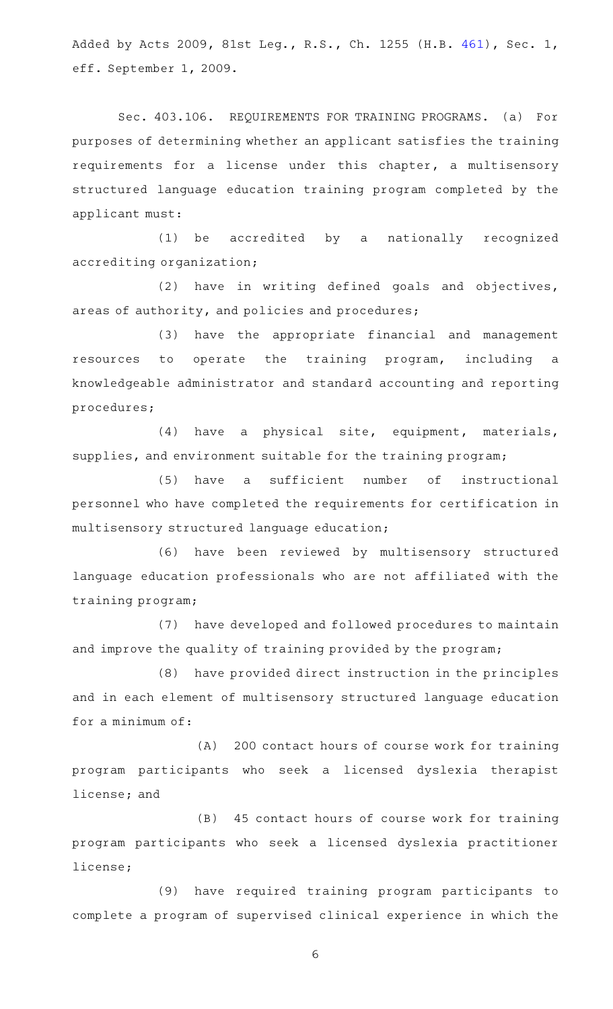Added by Acts 2009, 81st Leg., R.S., Ch. 1255 (H.B. [461](http://www.legis.state.tx.us/tlodocs/81R/billtext/html/HB00461F.HTM)), Sec. 1, eff. September 1, 2009.

Sec. 403.106. REQUIREMENTS FOR TRAINING PROGRAMS. (a) For purposes of determining whether an applicant satisfies the training requirements for a license under this chapter, a multisensory structured language education training program completed by the applicant must:

(1) be accredited by a nationally recognized accrediting organization;

 $(2)$  have in writing defined goals and objectives, areas of authority, and policies and procedures;

(3) have the appropriate financial and management resources to operate the training program, including a knowledgeable administrator and standard accounting and reporting procedures;

(4) have a physical site, equipment, materials, supplies, and environment suitable for the training program;

(5) have a sufficient number of instructional personnel who have completed the requirements for certification in multisensory structured language education;

(6) have been reviewed by multisensory structured language education professionals who are not affiliated with the training program;

(7) have developed and followed procedures to maintain and improve the quality of training provided by the program;

(8) have provided direct instruction in the principles and in each element of multisensory structured language education for a minimum of:

(A) 200 contact hours of course work for training program participants who seek a licensed dyslexia therapist license; and

(B) 45 contact hours of course work for training program participants who seek a licensed dyslexia practitioner license;

(9) have required training program participants to complete a program of supervised clinical experience in which the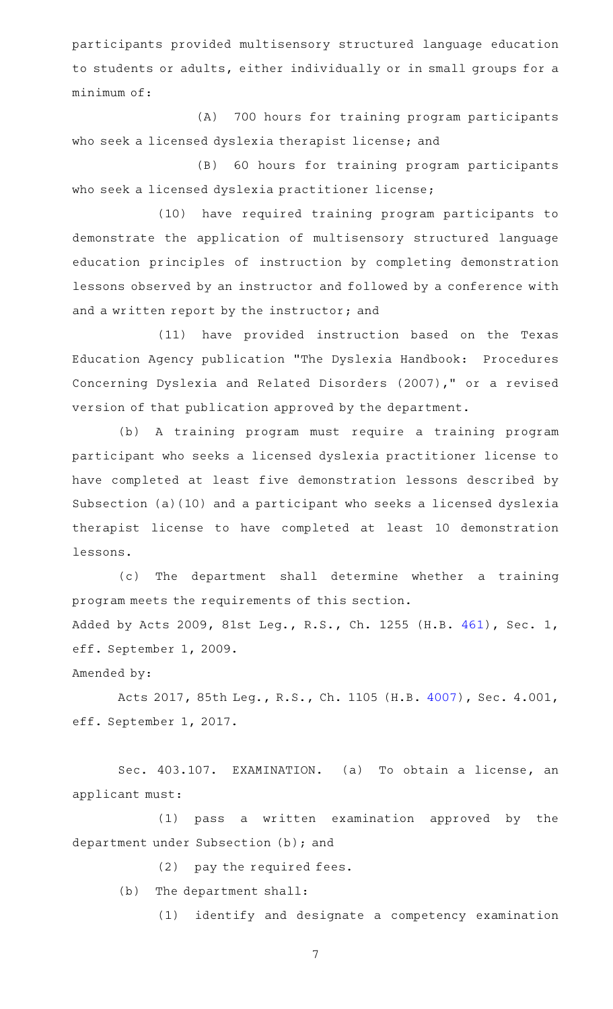participants provided multisensory structured language education to students or adults, either individually or in small groups for a minimum of:

(A) 700 hours for training program participants who seek a licensed dyslexia therapist license; and

(B) 60 hours for training program participants who seek a licensed dyslexia practitioner license;

(10) have required training program participants to demonstrate the application of multisensory structured language education principles of instruction by completing demonstration lessons observed by an instructor and followed by a conference with and a written report by the instructor; and

(11) have provided instruction based on the Texas Education Agency publication "The Dyslexia Handbook: Procedures Concerning Dyslexia and Related Disorders (2007)," or a revised version of that publication approved by the department.

(b) A training program must require a training program participant who seeks a licensed dyslexia practitioner license to have completed at least five demonstration lessons described by Subsection (a)(10) and a participant who seeks a licensed dyslexia therapist license to have completed at least 10 demonstration lessons.

(c) The department shall determine whether a training program meets the requirements of this section. Added by Acts 2009, 81st Leg., R.S., Ch. 1255 (H.B. [461](http://www.legis.state.tx.us/tlodocs/81R/billtext/html/HB00461F.HTM)), Sec. 1, eff. September 1, 2009.

Amended by:

Acts 2017, 85th Leg., R.S., Ch. 1105 (H.B. [4007](http://www.legis.state.tx.us/tlodocs/85R/billtext/html/HB04007F.HTM)), Sec. 4.001, eff. September 1, 2017.

Sec. 403.107. EXAMINATION. (a) To obtain a license, an applicant must:

(1) pass a written examination approved by the department under Subsection (b); and

 $(2)$  pay the required fees.

(b) The department shall:

(1) identify and designate a competency examination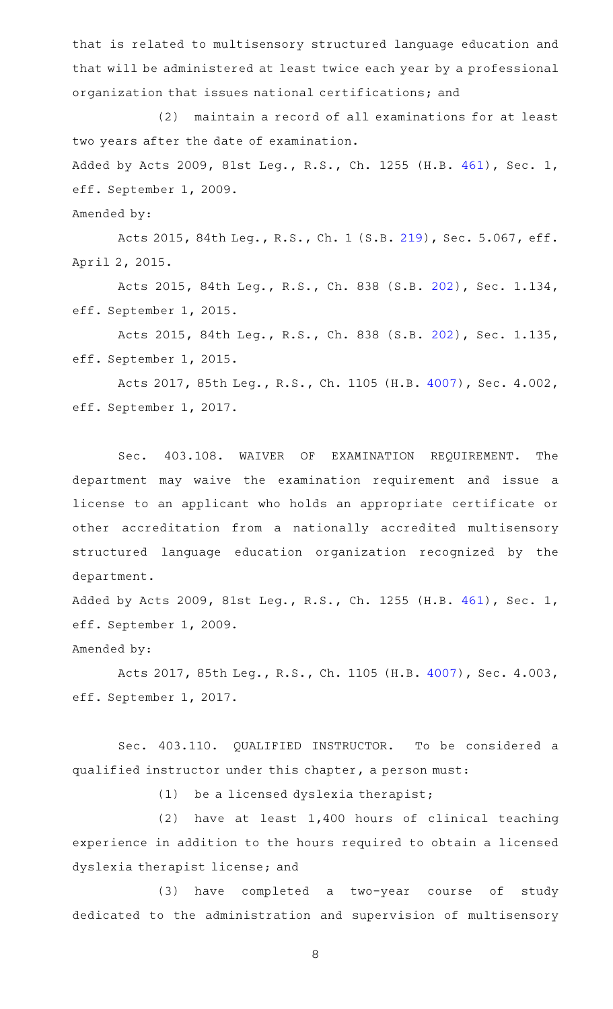that is related to multisensory structured language education and that will be administered at least twice each year by a professional organization that issues national certifications; and

(2) maintain a record of all examinations for at least two years after the date of examination.

Added by Acts 2009, 81st Leg., R.S., Ch. 1255 (H.B. [461](http://www.legis.state.tx.us/tlodocs/81R/billtext/html/HB00461F.HTM)), Sec. 1, eff. September 1, 2009.

Amended by:

Acts 2015, 84th Leg., R.S., Ch. 1 (S.B. [219](http://www.legis.state.tx.us/tlodocs/84R/billtext/html/SB00219F.HTM)), Sec. 5.067, eff. April 2, 2015.

Acts 2015, 84th Leg., R.S., Ch. 838 (S.B. [202](http://www.legis.state.tx.us/tlodocs/84R/billtext/html/SB00202F.HTM)), Sec. 1.134, eff. September 1, 2015.

Acts 2015, 84th Leg., R.S., Ch. 838 (S.B. [202](http://www.legis.state.tx.us/tlodocs/84R/billtext/html/SB00202F.HTM)), Sec. 1.135, eff. September 1, 2015.

Acts 2017, 85th Leg., R.S., Ch. 1105 (H.B. [4007](http://www.legis.state.tx.us/tlodocs/85R/billtext/html/HB04007F.HTM)), Sec. 4.002, eff. September 1, 2017.

Sec. 403.108. WAIVER OF EXAMINATION REQUIREMENT. The department may waive the examination requirement and issue a license to an applicant who holds an appropriate certificate or other accreditation from a nationally accredited multisensory structured language education organization recognized by the department.

Added by Acts 2009, 81st Leg., R.S., Ch. 1255 (H.B. [461](http://www.legis.state.tx.us/tlodocs/81R/billtext/html/HB00461F.HTM)), Sec. 1, eff. September 1, 2009.

Amended by:

Acts 2017, 85th Leg., R.S., Ch. 1105 (H.B. [4007](http://www.legis.state.tx.us/tlodocs/85R/billtext/html/HB04007F.HTM)), Sec. 4.003, eff. September 1, 2017.

Sec. 403.110. QUALIFIED INSTRUCTOR. To be considered a qualified instructor under this chapter, a person must:

 $(1)$  be a licensed dyslexia therapist;

 $(2)$  have at least 1,400 hours of clinical teaching experience in addition to the hours required to obtain a licensed dyslexia therapist license; and

(3) have completed a two-year course of study dedicated to the administration and supervision of multisensory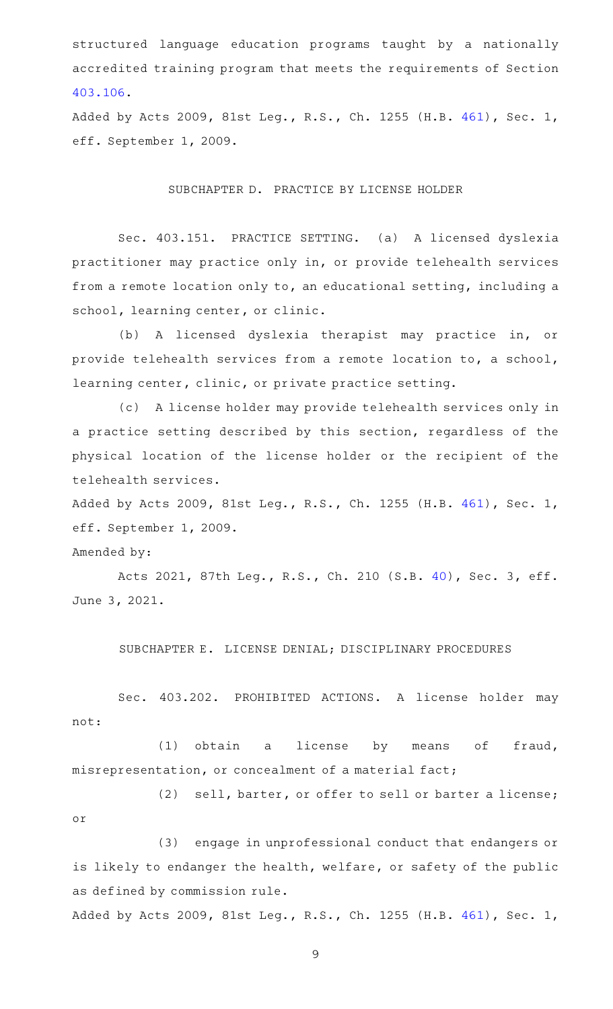structured language education programs taught by a nationally accredited training program that meets the requirements of Section [403.106.](http://www.statutes.legis.state.tx.us/GetStatute.aspx?Code=OC&Value=403.106)

Added by Acts 2009, 81st Leg., R.S., Ch. 1255 (H.B. [461](http://www.legis.state.tx.us/tlodocs/81R/billtext/html/HB00461F.HTM)), Sec. 1, eff. September 1, 2009.

## SUBCHAPTER D. PRACTICE BY LICENSE HOLDER

Sec. 403.151. PRACTICE SETTING. (a) A licensed dyslexia practitioner may practice only in, or provide telehealth services from a remote location only to, an educational setting, including a school, learning center, or clinic.

(b) A licensed dyslexia therapist may practice in, or provide telehealth services from a remote location to, a school, learning center, clinic, or private practice setting.

(c) A license holder may provide telehealth services only in a practice setting described by this section, regardless of the physical location of the license holder or the recipient of the telehealth services.

Added by Acts 2009, 81st Leg., R.S., Ch. 1255 (H.B. [461](http://www.legis.state.tx.us/tlodocs/81R/billtext/html/HB00461F.HTM)), Sec. 1, eff. September 1, 2009.

Amended by:

Acts 2021, 87th Leg., R.S., Ch. 210 (S.B. [40](http://www.legis.state.tx.us/tlodocs/87R/billtext/html/SB00040F.HTM)), Sec. 3, eff. June 3, 2021.

SUBCHAPTER E. LICENSE DENIAL; DISCIPLINARY PROCEDURES

Sec. 403.202. PROHIBITED ACTIONS. A license holder may not:

(1) obtain a license by means of fraud, misrepresentation, or concealment of a material fact;

(2) sell, barter, or offer to sell or barter a license; or

(3) engage in unprofessional conduct that endangers or is likely to endanger the health, welfare, or safety of the public as defined by commission rule.

Added by Acts 2009, 81st Leg., R.S., Ch. 1255 (H.B. [461](http://www.legis.state.tx.us/tlodocs/81R/billtext/html/HB00461F.HTM)), Sec. 1,